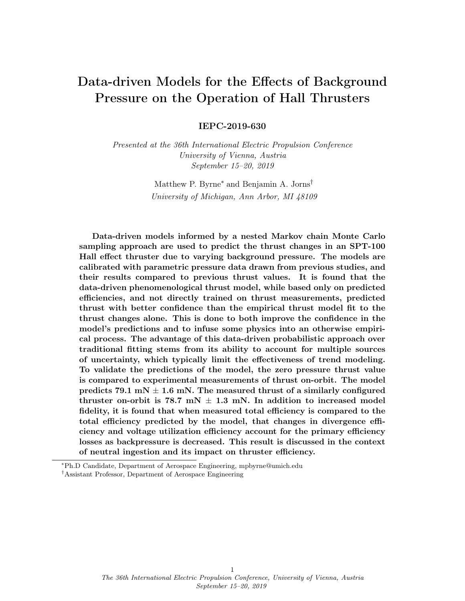# Data-driven Models for the Effects of Background Pressure on the Operation of Hall Thrusters

IEPC-2019-630

Presented at the 36th International Electric Propulsion Conference University of Vienna, Austria September 15–20, 2019

> Matthew P. Byrne<sup>∗</sup> and Benjamin A. Jorns† University of Michigan, Ann Arbor, MI 48109

Data-driven models informed by a nested Markov chain Monte Carlo sampling approach are used to predict the thrust changes in an SPT-100 Hall effect thruster due to varying background pressure. The models are calibrated with parametric pressure data drawn from previous studies, and their results compared to previous thrust values. It is found that the data-driven phenomenological thrust model, while based only on predicted efficiencies, and not directly trained on thrust measurements, predicted thrust with better confidence than the empirical thrust model fit to the thrust changes alone. This is done to both improve the confidence in the model's predictions and to infuse some physics into an otherwise empirical process. The advantage of this data-driven probabilistic approach over traditional fitting stems from its ability to account for multiple sources of uncertainty, which typically limit the effectiveness of trend modeling. To validate the predictions of the model, the zero pressure thrust value is compared to experimental measurements of thrust on-orbit. The model predicts 79.1 mN  $\pm$  1.6 mN. The measured thrust of a similarly configured thruster on-orbit is 78.7 mN  $\pm$  1.3 mN. In addition to increased model fidelity, it is found that when measured total efficiency is compared to the total efficiency predicted by the model, that changes in divergence efficiency and voltage utilization efficiency account for the primary efficiency losses as backpressure is decreased. This result is discussed in the context of neutral ingestion and its impact on thruster efficiency.

<sup>∗</sup>Ph.D Candidate, Department of Aerospace Engineering, mpbyrne@umich.edu

<sup>†</sup>Assistant Professor, Department of Aerospace Engineering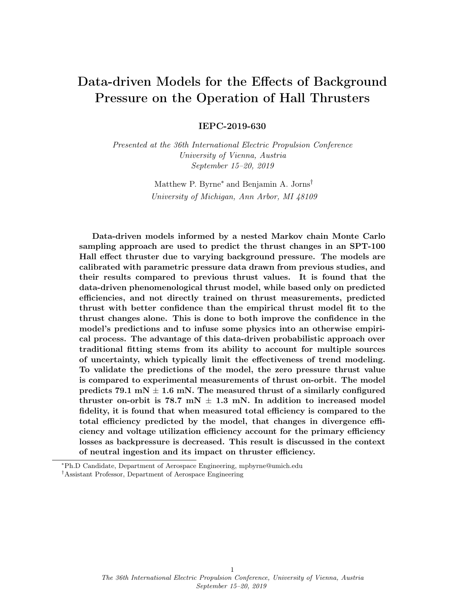| Nomenclature |  |
|--------------|--|
|--------------|--|

| <b>HET</b>       | $=$ Hall Effect Thruster             |
|------------------|--------------------------------------|
| $\eta_a$         | $=$ Anode Efficiency                 |
| T                | $=$ Thrust                           |
| $\dot{m}$        | $=$ Mass Flow Rate                   |
| $P_d$            | $=$ Discharge Power                  |
| $\eta_q$         | $=$ Charge Utilization Efficiency    |
| $\eta_v$         | $=$ Voltage Utilization Efficiency   |
| $\eta_d$         | $=$ Divergence Efficiency            |
| $\eta_b$         | $=$ Current Utilization Efficiency   |
| $\eta_m$         | $=$ Mass Utilization Efficiency      |
| $V_{loss}$       | $=$ Voltage Loss                     |
| $V_d$            | $=$ Discharge Voltage                |
| δ                | $=$ Charge Weighted Divergence Angle |
| İ                | $=$ Ion Current Density              |
| $\theta$         | $=$ Polar Angle                      |
|                  | $A_x, B_x, C_x$ = Fitting Parameters |
| $\boldsymbol{P}$ | = Background Pressure                |

## I. Introduction

H<sup>All effect thrusters (HET)</sup> are becoming one of the most widely used electric propulsion technolo-<br>gies<sup>1</sup>. Yet, one of the major unanswered question about the operation of HETs is the validity of gies<sup>[1](#page-15-0)</sup>. Yet, one of the major unanswered question about the operation of HETs is the validity of using ground measurements to predict the behavior of the thruster on-orbit. It is not yet possible to recreate true space conditions in the laboratory — at best base pressures six orders of magnitude higher than those in low-earth orbit can be achieved. This backpressure can have a significant effect on the operation of HETs, influencing key thruster properties such as thrust, plume divergence, cathode operation, and discharge current oscillations<sup>[2](#page-15-1)[–18](#page-16-0)</sup>. These effects are exacerbated for higher power thrusters which, due to their increased throughput, are subject to even higher pressures during testing. Given the trend in increasing HET power required to meet future mission needs, and in light the limitations of available pumping speed, there is a strong motivation to develop a method to map ground-based measurements to on-orbit behavior.

The standard method to address this problem is through parametric studies, systematically low-ering the facility pressure to map the dependence of key thruster properties on backpressure<sup>[2](#page-15-1)-18</sup>. Extrapolation then can be used to project measured trends to space-like pressures. While unambiguous in its implementation, there are a number of reservations with this method. For example, in order to perform an extrapolation, it is necessary to posit a functional dependence of the pressure (e.g., linear, exponential, quadratic, etc.). Absent a first-principles understanding of what drives facility effects, it is not clear what functional dependence of performance metrics, like thrust, is physically valid. Furthermore, even if there is a functional form that fits the measured data with high fidelity, it is not known if there is a valid way to extrapolate from the lowest pressure that can be achieved to flight-like conditions. Indeed, the only way to truly validate a functional form and its extrapolation is with in-space tests. These are prohibitively expensive. Faced with these limitations both in testing capability and knowledge of the physical processes, there is a pressing need to identify practical solutions that, at the minimum, allow us to rigorously quantify our confidence in the predictions of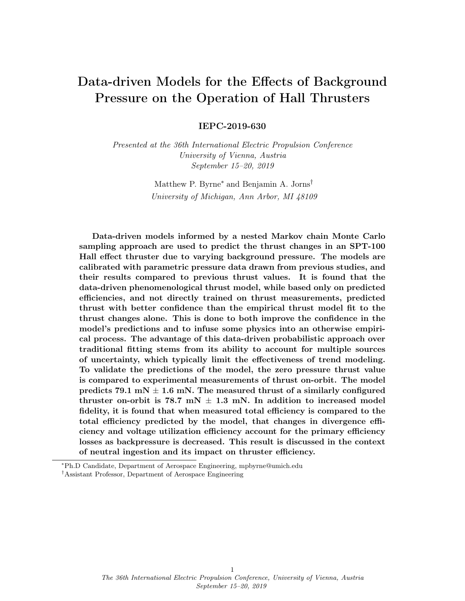an extrapolated model. It is important that we rigorously account for both measurement uncertainty (aleatory) and knowledge gaps in the physics (epistemic) so as to bound the predictions outside of the measurable pressure range.

Probabilistic studies are ideal methods for quantifying uncertainty, especially when tackling multidimensional problems with many possible sources of error. In these studies, model fitting parameters are treated as random variables which can vary according to a probability distribution function (PDF). These parameters are calibrated on experimental measurements and their PDFs are updated based on the new information. The goal of this study is to use this method to develop a data-driven model which can predict with uncertainty how the thrust of an SPT-100 Hall thruster will change under different backpressure conditions with a well defined confidence interval.

This paper is organized in the following way. In the first section we review the relevant facility effects and discuss the models and methods that we used to predict thruster operation at different background pressures. In the second section we present the calibrated fitting parameter PDFs generated by our probabilistic analyses. In the last section we discuss the predictions of our model and its relevance to future facility effect studies.

# II. Theory and Approach

In this section we describe the methodologies used in predicting the performance changes in an SPT-100 Hall thruster as background pressure is decreased. We focus on predicting the changes in thrust based on changes in thruster efficiency.

#### A. Facility Effect Overview

There are major differences between the ground and flight environments experienced by HETs. These so-called facility effects have been shown to significantly alter the operation of HETs, and stem primarily from two unavoidable aspects of ground testing: the grounded chamber walls  $17$ , and the finite background pressure. Of these, background pressure has been shown to have a substantial impact on thruster performance. The physical mechanisms behind how background neutrals alter thruster operation are convoluted at best, but there are four main effects which are active areas of research.

- Neutral ingestion The most direct way that the facility will impact thruster operation and thrust is through the direct ingestion of neutral gas from the environment. Neutrals can become entrained into the discharge channel, become ionized, and accelerate downstream. If left unaccounted for, these neutrals would cause a performance increase that would not be seen during flight. There are, however, a few studies  $22.23$  $22.23$  which show that this is likely a small contribution especially when compared to other facility effects. To mitigate this effect, most investigations operate thrusters at constant discharge power, reducing anode flow rate at higher background pressures to account for the additional discharge current generated by ingested background neutrals.
- Stability The effect of the facility of discharge current oscillations is both significant and poorly understood. Some studies have shown that oscillations increase with lowering background pres-sure<sup>[13](#page-16-4)</sup>, while others find that they decrease  $^{2,3,5-8}$  $^{2,3,5-8}$  $^{2,3,5-8}$  $^{2,3,5-8}$  $^{2,3,5-8}$  $^{2,3,5-8}$ . While understanding how thruster stability is altered by the background neutral density is critical to predicting how these devices will operated under different conditions, we confine this investigation to the more tractable averaged effects.
- Cathode coupling Cathode coupling has also been shown to be dependent on the background pressure of the chamber during thruster operation. While its effect on the discharge voltage is thought to be small, on the order of  $1-2\%$ <sup>[18](#page-16-0)</sup>, the cathode has been shown to play a role in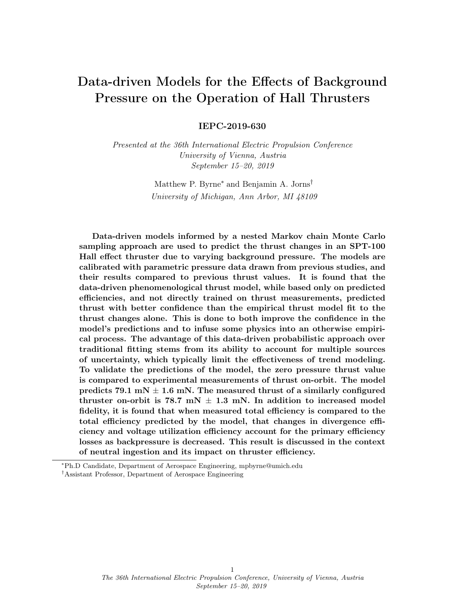discharge oscillations changes<sup>[17](#page-16-1)</sup> and the extent of the acceleration region<sup>[22](#page-16-2)[,25](#page-17-0)[,27](#page-17-1)</sup>. In this report will will only account for its effect on voltage utilization.

• Divergence angle The final facility effect, and the primary subject of this study, is the trend of decreasing thrust with decreasing background pressure. This occurs even when the thruster is operated at constant power to control for neutral ingestion. This effect has obvious implications to the future development and use of these devices. If the thrust produced by a new thruster cannot be predicted accurately by ground testing, the increased risk may preclude their use on certain missions. The cause of this effect is thought to be changing acceleration region location which causes an increase in divergence at lower pressures. Supporting this theory are a number of studies documenting the movement of the acceleration region as a function of background pressure<sup>[7,](#page-15-5)[24](#page-16-5)[–26](#page-17-2)</sup>. All of these experiments show that this effect is non-linear, they find small changes in thrust at higher pressures and large changes as the pressure drops below approx 20  $\mu Torr.$ 

#### B. Phenomenological Thrust Model

To predict how the thrust of a HET would change with different background pressures we used a phenomenological thrust model as described by Huang et  $al^5$  $al^5$ ,

<span id="page-3-0"></span>
$$
\eta_a = \frac{T^2}{2\dot{m}_a P_d} = \eta_q \eta_v \eta_d \eta_b \eta_m,\tag{1}
$$

where  $\eta_a$  is the anode efficiency, T is the thrust,  $\dot{m}_a$  is the anode mass flow rate,  $P_d$  is the discharge power,  $\eta_q$  is the charge utilization efficiency,  $\eta_v$  is the voltage utilization efficiency,  $\eta_d$  is the divergence efficiency,  $\eta_b$  is the current utilization efficiency, and  $\eta_m$  is the mass utilization efficiency.

This model was initially developed by Hofer<sup>[28](#page-17-3)</sup> (from earlier work by Goebel and Katz<sup>[29](#page-17-4)</sup>) to quantify the relative effects of different plasma properties. Using this model allows us to base our extrapolations on a firm physics foundation, even if we do not have a first-principles understanding for how each term is effected by background pressure. The mass utilization quantifies the amount of neutral mass flux that is converted to ion mass flux. The current utilization is determined by the amount of the discharge current that is made up of ion current. The voltage utilization efficiency details how much of the applied voltage goes into the acceleration potential. The charge utilization efficiency contains the losses due to multiply charged ions. Finally the divergence efficiency describes the thrust losses due to radial ion acceleration.

We focus our investigation on two of the efficiency terms, which we know will be affected by facility effects. Namely we look at the the voltage utilization efficiency (in which we assume that cathode coupling is the primary voltage loss mechanism<sup>[17](#page-16-1)[,18](#page-16-0)</sup>),

$$
\eta_v = 1 - \frac{V_{cc}}{V_d},\tag{2}
$$

and the divergence efficiency,

$$
\eta_d = \langle \cos^2(\delta) \rangle,\tag{3}
$$

where  $V_{cc}$  is the cathode coupling voltage,  $V_d$  is the discharge voltage, and  $\delta$  is the charge weighted divergence angle of the thruster plume. Divergence losses are, in a number of studies  $2,4,5$  $2,4,5$  $2,4,5$ , pointed to as the dominant thrust loss mechanism for HET as background pressure is decreased. In this study we assume that all changes in efficiency are attributable to changes in these two terms holding all others constant.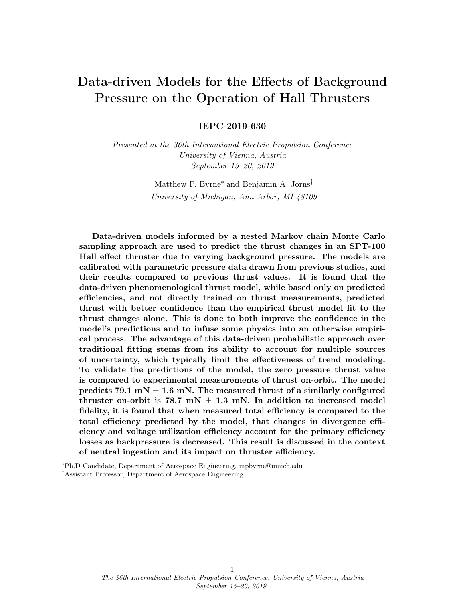#### C. Parametric Pressure Study

The data used to inform this study were taken from parametric pressure study performed by Diamant et.al.<sup>[2](#page-15-1)</sup> on the SPT-100 thruster. The thruster used in this study was a flight model SPT-100 Hall thruster from the Fakel Experimental and Design Bureau. It was operated at 300 V and 1.35 kW in constant power mode. In this work, the effects of different background pressures on a SPT-100 performance and plasma properties were recorded at two different facilities. Of particular interest to this study are the calculations and measurements of thrust, efficiency, total mass flow rate, and ion flux sweeps. From this data Cusson et. al.  $^{18}$  $^{18}$  $^{18}$  was able to extract values for cathode coupling voltage as it changed with respect to background pressure. We have plotted this data in Fig[.1.](#page-4-0)

<span id="page-4-0"></span>

Fig. 1 Cathode coupling voltage as a function of background pressure extracted by Cusson et. al.<sup>[18](#page-16-0)</sup> from Diamant et.at<sup>[2](#page-15-1)</sup>

We extracted the divergence angle data from the ion flux sweeps performed by Diamant. We calculated the divergence angle based on the definition provided in Huang et. al.<sup>[4](#page-15-6)</sup>,

$$
\langle \cos(\delta) \rangle = \frac{2\pi R_{FP}^2 \int_0^{\frac{\pi}{2}} j(\theta)\cos(\theta)\sin(\theta)d\theta}{2\pi R_{FP}^2 \int_0^{\frac{\pi}{2}} j(\theta)\sin(\theta)d\theta}.\tag{4}
$$

In this equation,  $\delta$  is the charge weighted divergence angle,  $\theta$  is the angle with respect to thruster centerline, and  $j(\theta)$  is the ion current density as a function of angle from centerline. At the outer edges of the plume the the plasma properties of the beam are obscured by charge exchange ions which are not present during flight operation. These ions have different velocities than those originating from the beam. As a result, in order to calculate an accurate divergence angle it is necessary to remove the CEX wings<sup>[30](#page-17-5)</sup>. This was done experimentally by Diamant by biasing the collection probe to exclude non-beam ions. We used the 100 V bias data to calculate divergence angle. The extracted data is plotted versus background pressure in Fig[.2.](#page-5-0)

#### D. Bayesian Parameter Estimation Approach

Given the large amount of uncertainty in plume measurements, and the large number of relevant variables, a probabilistic Bayesian analysis is an ideal tool for finding the best fitting parameters while simultaneously quantifying the uncertainty. Bayesian Analysis is based on a theorem known as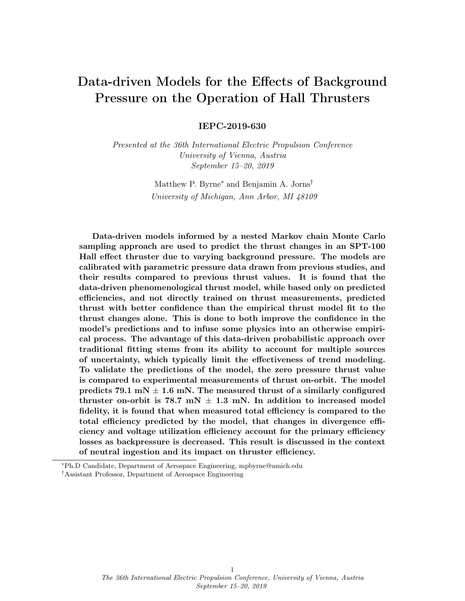<span id="page-5-0"></span>

Fig. [2](#page-15-1) Divergence angle as a function of background pressure, extracted from Diamant<sup>2</sup> RPA100 Ion Flux measurements at different background pressures

Bayes' rule,

$$
P(\theta) = \frac{L(\theta) \cdot p(\theta)}{Z},\tag{5}
$$

where  $\theta$  is a random variable,  $p(\theta)$  is the prior probability distribution,  $L(\theta)$  is the likelihood function, Z is the marginal likelihood or evidence, and  $P(D)$  is the posterior probability distribution.

To apply this technique to our problem, first both of the efficiency terms noted above were assigned a fitting function which best describes its dependence on background pressure. Second each parameter in the fitting functions were assigned a pdf, known as a prior. Since we do not have any a priori information about the shape or range this distribution should have, we can represent our ignorance by selecting uniform distributions for each parameter. The third step is to choose a likelihood function. Most measured parameters naturally have a Gaussian distribution, and while it is true that some multiplicative processes are best described by more complicated likelihood choices [20,](#page-16-6)[21](#page-16-7), a Gaussian is the most straightforward choice for this study, given by,

$$
L(\theta) = \frac{1}{2\pi\sigma} \cdot \exp\left[-\frac{(\theta - \mu)^2}{2\sigma^2}\right],\tag{6}
$$

where  $\theta$  is a random variable,  $\sigma$  is the standard deviation of the distribution, and  $\mu$  is the mean of the distribution. To put what these terms mean in the context of a measurement;  $\mu$  would represent the true value of the quantity being measured (possibly given by a model),  $\sigma$  represents the chance that a different value is obtained when the quantity is measured, and  $\theta$  is the value that you measured. The final step is to use the measured data and Bayes' Rule to perform a Bayesian update to redefine the ways each of the parameters are distributed. The resulting pdf is known as a posterior.

We generate the posteriors using a Nested Sampling Markov chain Monte Carlo (NSMCMC) approach. This process is described in detail by Sivia and Skilling [19](#page-16-8), which we briefly review here. The algorithm begins by selecting a series of live points. Each live point is calculated by pulling a random sample of each fitting parameter prior. Each parameter set is then used to calculate a likelihood function. The lowest likelihood set is stored, and the parameters of that set are then re-assigned to a set with higher likelihood using an MCMC routine. This process is iterated approximately one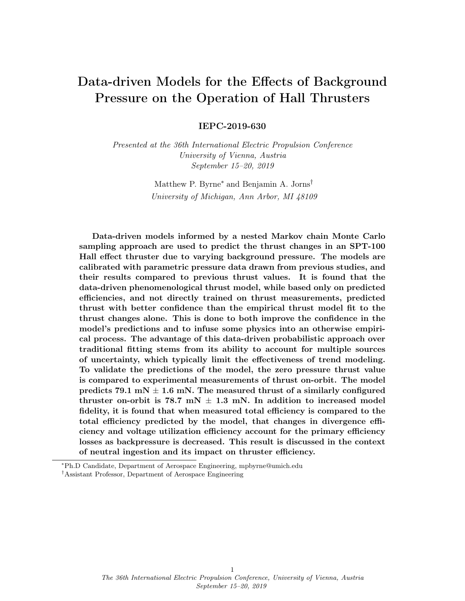hundred thousand times (depending on how many live points are chosen) until the process converges on the set of parameters with the highest likelihood. Since we began with a uniform prior for each parameter, the corresponding posteriors are proportional to the calculated likelihood, from Bayes' Rule,

$$
P(\theta) = \frac{L(\theta)}{Z} \propto L(\theta). \tag{7}
$$

Since the value of each parameter now has an associated pdf based on the underlying data and its uncertainty, we can "propagate" that uncertainty through the calculations and ultimately to our predictions. For each fitting function we can then Monte Carlo sample each parameter to find the complete range of values that fitting function can take. Confidence intervals can then be drawn to provide an uncertainty envelope.

## III. Results and Analysis

In this section we will display the results of our parameter estimation study. First, we will describe the models we chose and the reasons behind their selection. Second, we will examine the results of our Bayesian parameter estimation technique. Finally we will use those results to make thrust predictions for on-orbit pressures. We will also compare our thrust predictions and Diamant's to experimental measurements of thrust from the Russian express missions<sup>[31](#page-17-6)</sup>.

#### A. Model Selection

## • Cathode Coupling Model

To model the cathode coupling voltage as a function of background pressure, we chose an exponential of the form,

<span id="page-6-0"></span>
$$
V_{cc}(P) = A_{V_{cc}} \cdot exp(B_{V_{cc}} \cdot P), \qquad (8)
$$

where  $A_{V_{cc}}$  and  $B_{V_{cc}}$  are fitting parameters. We chose this form based on the work done by Cusson<sup>[18](#page-16-0)</sup>. In this paper they propose a first principles model for the change in cathode coupling as a function of neutral density. While their model fits the data very well, it is very complicated. Therefore, for this study we used a simpler equation of the same form with two fit parameters.

#### • Divergence Angle Model

Unlike the cathode coupling model, when fitting the divergence angle data we did not use a physics-based model, as no such model exists. Instead we used a polynomial model. We selected a quadratic model given by

<span id="page-6-1"></span>
$$
\delta(P) = A_{\delta} P^2 \cdot B_{\delta} P \cdot C_{\delta},\tag{9}
$$

where  $A_{\delta}$ ,  $B_{\delta}$ , and  $C_{\delta}$  are fitting parameters. We chose quadratic because it was the lowest possible order polynomial that still qualitatively matched the data. While this assumption allows us to proceed with the probabilistic analysis, it restricts the applicability of the results to the SPT-100 only, since other thrusters may have different functional forms.

#### • Phenomenological Thrust Model

Based on the assumptions we introduced above, we can rewrite the phenomenological thrust model(equation [1\)](#page-3-0) in terms of its backpressure dependence,

$$
T(P) = \sqrt{\dot{m}_a \cdot C \cdot \left(1 - \frac{V_{cc}(P)}{V_d}\right) \cdot \cos^2\left(\delta(P)\right)},\tag{10}
$$

where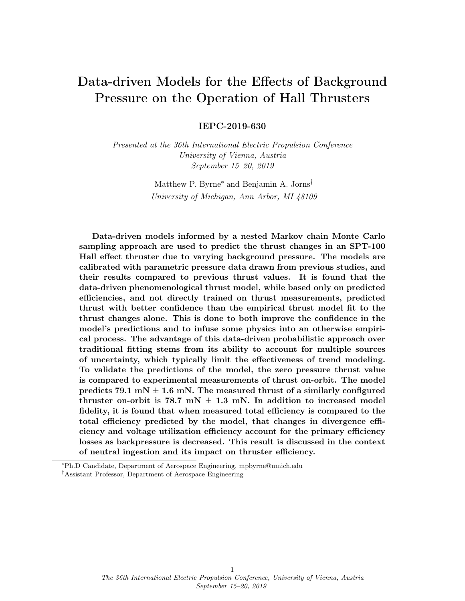$$
C = P_d \cdot \eta_q \cdot \eta_b \cdot \eta_m. \tag{11}
$$

We calculate C based on the Diamant's<sup>[2](#page-15-1)</sup> average reported values for total efficiency, thrust, and mass flow rate at  $5 \cdot 10^{-5}$  Torr.

## • Diamant's Thrust Model

Diamant has an empirical model which was fit to experimental thrust measurements, shown in Fig[.3](#page-7-0) with the parameter values chosen by Diamant. To have a point of comparison for our phenomenological model predictions, we also applied the parameter estimation technique to Diamant's model given by,

<span id="page-7-1"></span>
$$
T_{Diam}(P) = A_T - B_T \cdot exp(-C_T \cdot P), \qquad (12)
$$

<span id="page-7-0"></span>where  $A_T$ ,  $B_T$ , and  $C_T$  are fitting parameters.



Fig. 3 Thrust measurements as a function background pressure extracted from Dia- $\text{mant}^2$  $\text{mant}^2$  (Blue), and Diamant's fit (Yellow)

#### B. Bayesian Parameter Estimation Results

The results of the parameter estimation study are displayed in this section. In Figs. [4,](#page-8-0) [5,](#page-9-0) and [6](#page-10-0) we show the posterior distributions for each fitting parameter of the models we selected in the previous section. The plots on the left side of each figure are the individual posterior distributions for each fitting parameter. The heat plots on right side of the figures are the joint probability distributions between the two of the fitting parameters in each model.

Beginning with the results for the cathode coupling model (Equation [8\)](#page-6-0), shown in Fig[.4,](#page-8-0) we can see that both fitting parameters are very well defined. Each parameter has standard deviations one order of magnitude lower than their mean. This is not surprising considering that we chose this model based on a first-principles model for the cathode coupling. The last feature of note is the clear covariance in the parameters, indicated by the slope in the joint distribution function. This suggests that the values of  $A_{V_{cc}}$  and  $B_{V_{cc}}$  are correlated. This will lead to less model uncertainty in regions where the model is not supported by experimental data.

In Fig[.5,](#page-9-0) we see the parameter estimation results for the divergence angle model (Equation [9\)](#page-6-1) . Similar to the cathode coupling fits we have well defined posteriors for each fit parameter. But unlike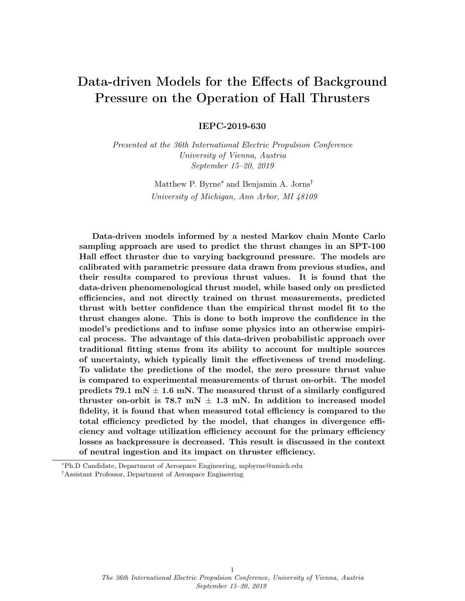<span id="page-8-0"></span>

Fig. 4 Posterior probability distributions for the cathode coupling fitting parameters.

for the cathode coupling values, these values have very large standard deviation (on the same order as the mean). This relative increase in the standard deviation is expected in higher dimensional models, as the extra degrees of freedom allow the number if likely values to increase. Despite this, we can see from the joint probability distributions that all of the parameters are correlated to each other.

We also calibrated Diamant's empirical thrust model (Equation [12\)](#page-7-1) on the thrust data published by Diamant<sup>[2](#page-15-1)</sup>. The resulting posteriors are displayed in Fig[.6.](#page-10-0) We find that only the  $A_T$  posterior is well defined. The  $B_T$  posterior, while it seems to be well peaked, has a large standard deviation. The last parameter,  $C_T$ , has a very broad posterior. This indicates that it is an unstable parameter, that when it is not informed by data, will blow up. Furthermore, when both it and  $B_T$  were allowed to vary together, the parameter estimation could not converge on any values for either parameter. This can be seen in the joint probability distribution for  $B_T$  and  $C_T$ . At low values of  $B_T$  and  $C_T$ the probability is high, but if either is increased the other becomes nearly uniform.

# C. Probabilistic Predictions

We can use the posterior distributions fitting parameters to make predictions with uncertainty. This can be done by calculating fits using all the possible combinations of fit parameters. Since the posterior distributions are essentially sets of the most probable values that each fitting parameter can take, we need only sample values from these distributions to approximate all of the probable fit functions. The uncertainty of the posteriors (which was initially based on the uncertainty of the data) can be propagated through this calculation as fits using unlikely parameters will themselves be unlikely. It is also in this way that we can assess the uncertainty of regions where we have no experimental data. The set of all possible fitting functions is restricted by the data we do have, allowing us to then restrict what values possible new data points are likely to take.

As an example we can apply this method using the posteriors calculated to for Diamant's empirical thrust model. We begin by randomly sampling a value from each of the posteriors shown in Fig. [6.](#page-10-0)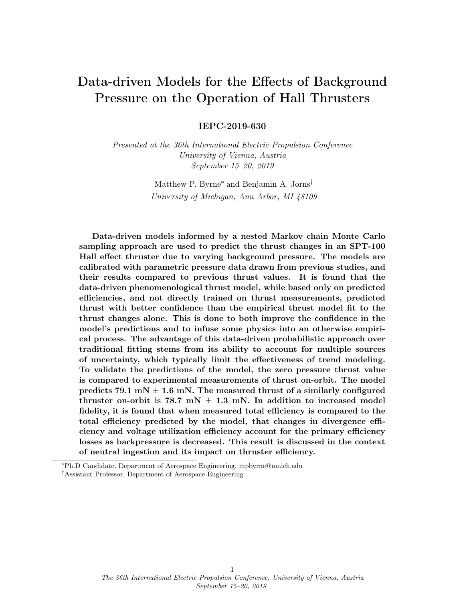<span id="page-9-0"></span>

#### Fig. 5 Posterior probability distributions for the divergence angle fitting parameters.

These values are then input into equation [12](#page-7-1) and used to calculate a fit function. The outputs of the fit function are then stored. This process is repeated ten thousand times. At each pressure value, each of the ten thousand models is compiled to create a PDF of thrust values at that point. This is done at all pressure points and used to calculate the mean and confidence intervals plotted in Fig[.7.](#page-11-0)

In this plot we can see that the mean fits the available data well. Furthermore, where there is data the the confidence intervals are close to the mean, indicating low uncertainty. Conversely, where there is no data support, the confidence intervals immediately diverge from the mean. This is a consequence of the high uncertainty and low correlation between the models fit parameters.

We apply the same algorithm to the divergence and cathode coupling data. We propagate the uncertainty from the posteriors through each model, but this time we take the additional step of propagating each models results through our phenomenological thrust model. This outcome of this can be seen in Fig[.8.](#page-11-1) For this plot the mass flow rate values are chosen based on Diamant's mass flow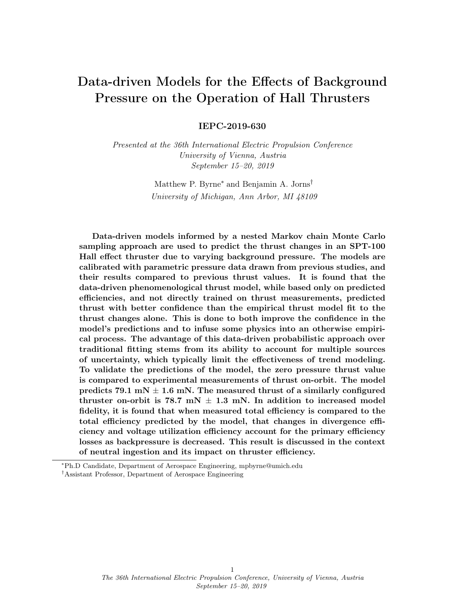<span id="page-10-0"></span>

Fig. 6 Posterior probability distributions for the divergence angle fitting parameters.

rate fit,

$$
\dot{m} = 5.68 - 7728 \cdot P. \tag{13}
$$

When we explore the fitting results we see immediately that the mean matches the experimentally measured thrust values very well. Additionally all of the data points fall within the confidence intervals. However, unlike the Diamant's model, this model was not trained on the thrust data itself. To see why the fit matched the data so well we examine how the predicted total efficiency changes with respect to background pressure, and how it compares to the measured total efficiency. We calculate total efficiency through the equation,

$$
\eta_a = \eta_q \eta_v \eta_d \eta_b \eta_m = \eta_{constant} \cdot \left( 1 - \frac{V_{cc}(P)}{V_d} \right) \cdot \cos^2 \left( \delta(P) \right),\tag{14}
$$

11 The 36th International Electric Propulsion Conference, University of Vienna, Austria September 15–20, 2019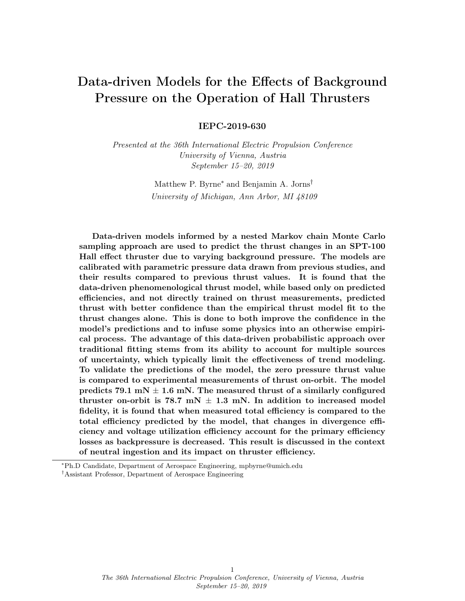<span id="page-11-0"></span>

<span id="page-11-1"></span>Fig. 7 Diamant's Thrust Predictions with 95% confidence intervals. Plotted with experimental thrust data for context



Fig. 8 Phenomenological Thrust Predictions with 95% confidence intervals. Plotted with experimental thrust data for context.

where  $\eta_{constant} = 0.5644$  and was calculated for a particular value of  $\eta_a$  at  $5 \cdot 10^{-5}$  Torr and held constant for all pressures. The results are plotted in Fig[.9,](#page-12-0) we can see that even only letting divergence and voltage utilization efficiencies vary, the predictions match very well with experimental measurements.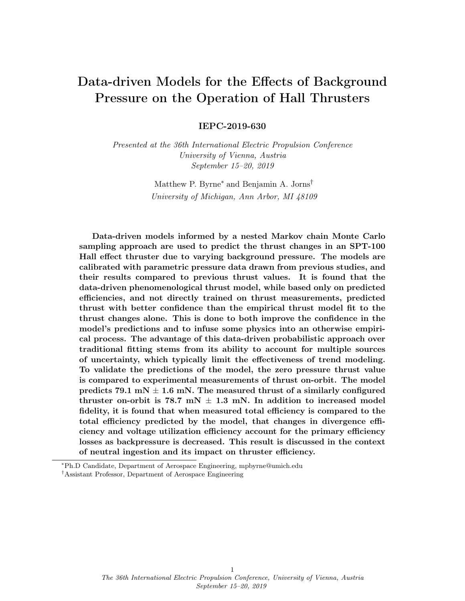<span id="page-12-0"></span>

Fig. 9 Predicted and measured total efficiency as a function of changing background pressure.

## D. Comparison to Orbital Measurements

Thrust measurements of an SPT-100 have been performed on-orbit.<sup>[31](#page-17-6)</sup> In the year 2000, two Russian geosynchronous communication satellites were launched into orbit. Each satellite was equipped with eight Fakel Enterprises SPT-100 Hall thrusters, as well as a number of plasma diagnostic systems. The thrust of some of the devices was able to be calculated during the final orbital corrections of the spacecraft, as well as during station keeping burns. From this data set, we selected thrust measurements from thrusters which had fired for at least 1.5 times the manufacturer suggested burn-in time of 20 hours<sup>[31](#page-17-6)</sup>(Express-A#2: RT2 and Express-A#3: RT1,T4, and RT4) to ensure a better comparison to the well-worn thruster analyzed by Diamant<sup>[2](#page-15-1)</sup>. We then corrected for the higher voltage and current measured on orbit and averaged the thrust from all four thrusters to give some indication of the reliability of this number. The average measured thrust was found to be 78.7 mN  $\pm$  1.3 mN.

We can compare this number to what is predicted by our two models. Figure [10](#page-13-0) shows how this orbital value compares to the predictions of the phenomenological model. We can see that the mean predicted value agrees with the measured orbital thrust number to withing the variance if the data. If we calculate the mean and standard deviation of the model predictions at zero pressure, we find that the model predicts 79.1 mN  $\pm$  1.6 mN.

For context on the importance of this result we can look at how the predictions of Diamant's model compare to the orbital data. Figure [11](#page-13-1) shows this comparison. We observe that while the model's confidence bounds encompass the data point, the mean predictions do not seem to match. At zero pressure the mean and standard deviation of the predictions is  $75.5 \text{ mN } \pm 3.74 \text{ mN}$ .

## IV. Discussion

In this section we discuss the results generated by our parameter estimation technique, and its benefits over traditional fitting techniques. The most obvious difference between the two methods can be seen by comparing Figs. [3](#page-7-0) and [7.](#page-11-0) Whereas the traditional fitting method captures the same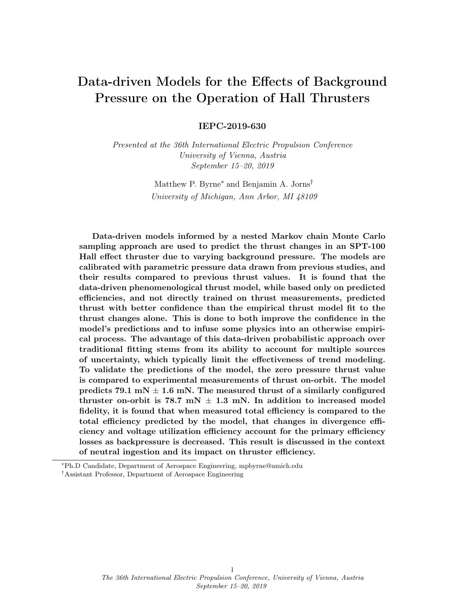<span id="page-13-0"></span>

<span id="page-13-1"></span>Fig. 10 Phenomenological Thrust Predictions with 95% confidence intervals. Plotted with orbital thrust data from Russian Express Missions<sup>[31](#page-17-6)</sup>



Fig. 11 Diamant's Thrust Predictions with 95% confidence intervals. Plotted with orbital thrust data from Russian Express Missions [31](#page-17-6)

trend in the data, it gives no indication for how certain that fit is. While it is possible to measure how good a fit is with non-Bayesian methods, like root mean square estimation, in most cases all of the data points are given equal weight. In the Bayesian case, parameters are treated as random variables which can vary. As a result, it can more easily deal with data outliers since confidence intervals are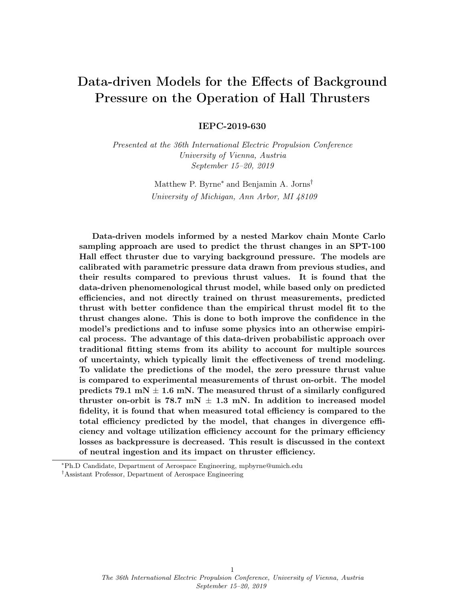based on the resulting posterior PDFs.

There was another interesting development of this study. When we look at how total efficiency changes with background pressure we find that, accounting for only changes in divergence angle and voltage utilization, that we match the experimentally measured values. This is a surprising result considering that we are not taking into account neutral ingestion. Diamant ran the thruster in constant power mode and was forced to increase the anode flow rate to maintain constant power as the backpressure was reduced. If we assume that neutral ingestion is making up for the difference in mass flow by holding  $\dot{m}$  constant at the predicted zero pressure value, we see that the predicted thrust matches at low pressure but is much greater at higher pressures. This is shown in Fig[.12.](#page-14-0)

<span id="page-14-0"></span>

Fig. 12 Phenomenological Thrust Predictions with 95% confidence intervals.  $\dot{m} = 5.68$ mg/s

Since do to neutral ingestion we must lower anode flow rate to maintain constant power, it may indicate that at higher pressures the mass utilization efficiency increases since current will be generated by background neutrals not considered in the measured mass flow rate. However, since the trend in total efficiency appeared to be completely explained by the change in divergence efficiency, one (or more) of the others we held constant must be dropping to compensate. We surmise that the voltage utilization efficiency is dropping due to a new (unaccounted for) loss term. If it is indeed due to neutral ingestion as we suspect, the likely effect is that these neutrals are not being ionized at the same potential as anode-supplied neutrals. This leads to the same measured current and power, but less thrust. This observation does not change the result of our modeling, since background neutrals will likely play a minor role at orbital pressures.

The final accomplishment of this paper is the ability of the phenomenological model to predict the thrust produced at orbital pressures within the variance of the on-orbit measurements. The most probable value predicted by the model was 79.1 mN, which is less than 1 mN for the avereage measured value of 78.7 mN. Additionally, the inclusion of a physical basis reduced the width of the confidence intervals when compared to the empirical model suggested by Diamant<sup>[2](#page-15-1)</sup>. In the future we can further improve the confidence of our predictions by including both more efficiency terms, such as mass utilization, and more physics-based functional forms for how the terms should vary with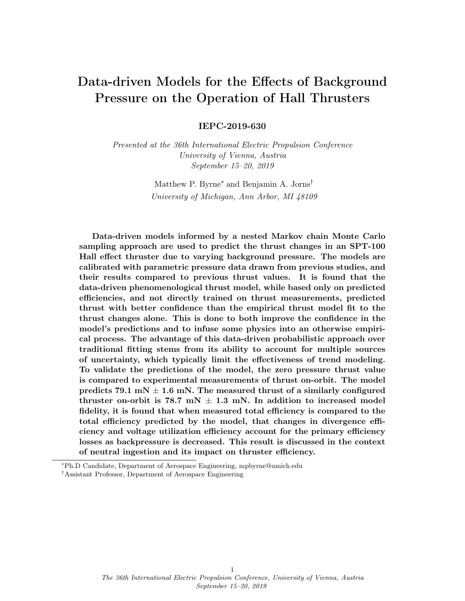background pressure.

In addition to thrust, studies like this could easily be expanded to predict the changes of any plume parameter with respect varying background pressure. One hope is that they can be used to bound predictions of plasma plume properties near spacecraft surfaces on orbit.. This could have interesting implications for spacecraft integration. If the plume can be well predicted in-space, the effect of ion sputtering on spacecraft materials on orbit could be more rigorously calculated.

## V. Conclusions

We used a data-driven Bayesian parameter estimation technique on a phenomenological thrust model to predict changes in thrust as a function of background pressure with a well-defined uncertainty envelope. Further, we found that the dominant effects driving thruster efficiency loss as background pressure decreased, are reduced divergence and voltage utilization efficiencies. Additionally, we found that while neutral ingestion does not play a role at lower pressures, there is a possibility that it can lead to decreased thrust at higher pressures when thrusters are run in constant power mode. Finally, we found that our most probable prediction of thrust at orbital pressures matched the thrust of an SPT-100 Hall thruster measured on-orbit to within 1 mN.

## References

- <span id="page-15-0"></span>[1] Hart, W. , Lev, D., Myers, R., Kolbeck, J., Keidar, M., Gonzalez, J., Choe, W., Koizumi, H., Albertoni, R., Gabriel, S., and Funaki, I. "The Technological and Commercial Expansion of Electric Propulsion in the Past 24 Years." presented at the 35th International Electric Propulsion Conference, Georgia Institute of Technology, USA, 2017, vol. IEPC-2017-242
- <span id="page-15-1"></span>[2] Diamant K. D., Liang R., and Corey R. L. "The E ect of Background Pressure on SPT-100 Hall Thruster Performance", 50th AIAA/ASME/SAE/ASEE Joint Propulsion Conference, AIAA Propulsion and Energy Forum, (AIAA 2014-3710)
- <span id="page-15-2"></span>[3] Diamant, K. D., Spektor, R., Beiting, E. J., Young, J. A., and Curtiss, T. J., "The E ects of Background Pressure on Hall Thruster Operation," in 48th AIAA/ASME/SAE/ASEE Joint Propulsion Conference and Exhibit, Atlanta, Georgia, USA, AIAA-3735-2012.
- <span id="page-15-6"></span>[4] Huang, W., Kamhawi, H., and Haag, T., "E ect of Background Pressure on the Performance and Plume of the HiVHAc Hall Thruster," Presented at the 33rd International Electric Propulsion Conference, IEPC Paper 2013-058, Washington, DC, Oct 6-10, 2013.
- <span id="page-15-3"></span>[5] Huang, W., Kamhawi, H., and Haag, T. "Facility E ect Characterization Test of NASA's HERMeS Hall Thruster", 52nd AIAA/SAE/ASEE Joint Propulsion Conference, AIAA Propulsion and Energy Forum, (AIAA 2016-4828)
- [6] Byers, D. and Dankanich, J. W., "A Review of Facility E ects on Hall E ect Thrusters," Presented at the 31st International Electric Propulsion Conference, IEPC Paper 2009-076, Ann Arbor, MI, Sept. 20-24, 2009.
- <span id="page-15-5"></span>[7] MacDonald-Tenenbaum, N., Pratt, Q., Nakles, M., Pilgram, N., Holmes, M., and Hargus Jr, W., "Background Pressure E ects on Ion Velocity Distributions in an SPT-100 Hall Thruster," Journal of Propulsion and Power, Vol. 35, No. 2, 2019, pp. 403–412.
- <span id="page-15-4"></span>[8] Nakles, M., and Hargus, W "Background Pressure E ects on Ion Velocity Distribution Within a Medium-Power Hall Thruster," JOURNAL OF PROPULSION AND POWER Vol. 27, No. 4, July–August 2011
- [9] M. L. R. Walker, "E ects of facility backpressure on the performance and plume of a Hall thruster," Ph.D. thesis ( United States Air Force, 2005).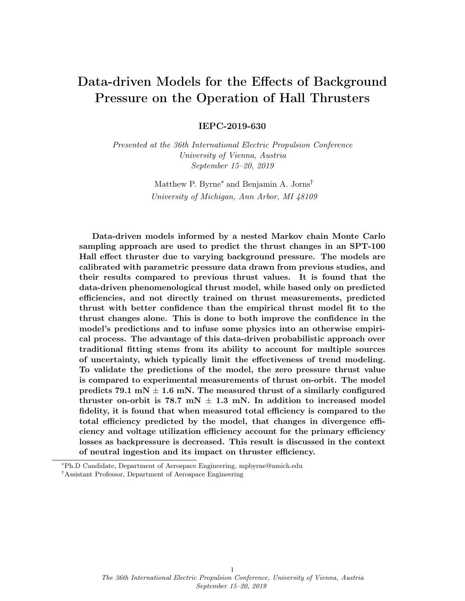- [10] Brown, D.L. and Gallimore, A.D., "Evaluation of facility e ects on ion migration in a Hall thruster plume." Journal of Propulsion and Power 27, no. 3 (2011): 573-585.
- [11] R. Spektor, W. G. Tighe, H. Stoltz, K. R. C. Beckwith, "Facility E ects on Hall Thruster Performance Through Cathode Coupling," Presented at Joint Conference of 30th International Symposium on Space Technology and Science, 34th International Electric Propulsion Conference and 6th Nano-satellite Symposium, Hyogo-Kobe, Japan, July 4–10, 2015, IEPC-2015-309/ISTS-2015-b-309
- [12] Randolph, T., Kim, V., Kaufman, H., Kozubsky, K., Zhurin, V.V. and Day, M., "Facility e ects on stationary plasma thruster testing." in Proceedings of the 23rd International Electric Propulsion Conference (1993), pp. 1993–1093.
- <span id="page-16-4"></span>[13] Snyder, J.S., Lenguito, G., Frieman, J.D., Haag, T.W. and Mackey, J.A., "The E ects of Background Pressure on SPT-140 Thruster Performance at Multiple Power Levels," 53rd AIAA/ASME/SAE/ASEE Joint Propulsion Conference, July 9-11, 2018, Cincinnati, OH
- [14] Kamhawi, H., Huang, W., Haag, T. and Spektor, R., "Investigation of the E ects of Facility Background Pressure on the Performance and Voltage-Current Characteristics of the High Voltage Hall Accelerator," in Proceedings of the 50th AIAA/ASME/SAE/ASEE Joint Propulsion Conference (2014), p. 3707
- [15] Hofer, R.R., Peterson, P.Y. and Gallimore, A.D., "Characterizing Vacuum Facility Backpressure E ects on the Performance of a Hall Thruster," in Proceedings of the 27th International Electric Propulsion Conference, IEPC-01-045, Pasadena, CA (2001).
- [16] Manzella, D. , Jankovsky, R., Elliott, F. , Mikellides, I., Jongeward, G., and Allen, D., "Hall Thruster Plume Measurements On-Board the Russian Express Satellites," presented at the 27th International Electric Propulsion Conference, Pasadena, California, 2001.
- <span id="page-16-1"></span>[17] Frieman, J.D., Walker, J.A., Walker, M.L., Khayms, V. and King, D.Q., "Electrical facility e ects on Hall thruster cathode coupling: performance and plume properties." Journal of Propulsion and Power 32, no. 1 (2015): 251-264.
- <span id="page-16-0"></span>[18] Cusson, S. E., Jorns, B., and Gallimore, A., "Simple Model for Cathode Coupling Voltage Versus Background Pressure in a Hall Thruster," 53rd AIAA/SAE/ASEE Joint Propulsion Conference, 10-12 July 2017, Atlanta, GA, AIAA 2017-4889
- <span id="page-16-8"></span>[19] Sivia, D. S., and Skilling, J., Data Analysis: A Bayesian Tutorial, 2nd edition, Oxford University Press, 2006
- <span id="page-16-6"></span>[20] Yim, J., "A survey of xenon ion sputter yield data and fits relevant to electric propulsion spacecraft integration," presented at the 35th International Electric Propulsion Conference, Georgia Institute of Technology, USA, 2017, vol. IEPC-2017-060.
- <span id="page-16-7"></span>[21] Limpert, E., Stahel, W.A. and Abbt, M.,Limpert, Eckhard, Werner A. Stahel, and Markus Abbt. "Lognormal distributions across the sciences: keys and clues: on the charms of statistics, and how mechanical models resembling gambling machines oer a link to a handy way to characterize log-normal distributions, which can provide deeper insight into variability and probability—normal or log-normal: that is the question." BioScience 51, no. 5 (2001): 341-352.
- <span id="page-16-2"></span>[22] Cusson, S. E., Georgin, M. P., Dragnea, H. C., Dale, E. T., Dhaliwal, V., Boyd, I. D., and Gallimore, A. D., "On channel interactions in nested Hall thrusters," Journal of Applied Physics 123:13
- <span id="page-16-3"></span>[23] Frieman, J. D., Liu, T. M., and Walker, M. L. R., "Background Flow Model of Hall Thruster Neutral Ingestion,". JOURNAL OF PROPULSION AND POWER. Vol. 33, No. 5, September–October 2017
- <span id="page-16-5"></span>[24] Cusson, S. E., Dale, E. T., Jorns, B. A., and Gallimore, A. D., "Impact of Cathode Flow Fraction on the Location of the Acceleration Region," SPC-18-402